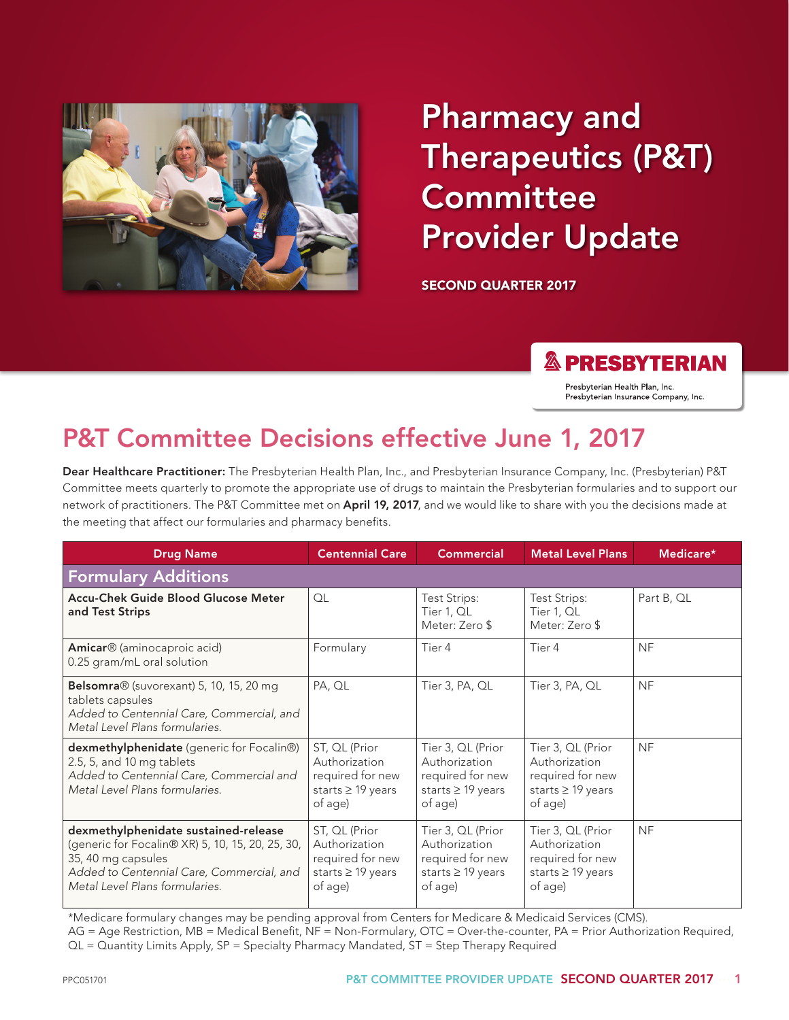

# Pharmacy and Therapeutics (P&T) **Committee** Provider Update

SECOND QUARTER 2017

#### **& PRESBYTERIAN**

Presbyterian Health Plan, Inc. Presbyterian Insurance Company, Inc.

## P&T Committee Decisions effective June 1, 2017

Dear Healthcare Practitioner: The Presbyterian Health Plan, Inc., and Presbyterian Insurance Company, Inc. (Presbyterian) P&T Committee meets quarterly to promote the appropriate use of drugs to maintain the Presbyterian formularies and to support our network of practitioners. The P&T Committee met on April 19, 2017, and we would like to share with you the decisions made at the meeting that affect our formularies and pharmacy benefits.

| <b>Drug Name</b>                                                                                                                                                                              | <b>Centennial Care</b>                                                                  | <b>Commercial</b>                                                                           | <b>Metal Level Plans</b>                                                                    | Medicare*  |
|-----------------------------------------------------------------------------------------------------------------------------------------------------------------------------------------------|-----------------------------------------------------------------------------------------|---------------------------------------------------------------------------------------------|---------------------------------------------------------------------------------------------|------------|
| <b>Formulary Additions</b>                                                                                                                                                                    |                                                                                         |                                                                                             |                                                                                             |            |
| Accu-Chek Guide Blood Glucose Meter<br>and Test Strips                                                                                                                                        | QL                                                                                      | <b>Test Strips:</b><br>Tier 1, QL<br>Meter: Zero \$                                         | Test Strips:<br>Tier 1, QL<br>Meter: Zero \$                                                | Part B, QL |
| Amicar <sup>®</sup> (aminocaproic acid)<br>0.25 gram/mL oral solution                                                                                                                         | Formulary                                                                               | Tier 4                                                                                      | Tier 4                                                                                      | <b>NF</b>  |
| Belsomra® (suvorexant) 5, 10, 15, 20 mg<br>tablets capsules<br>Added to Centennial Care, Commercial, and<br>Metal Level Plans formularies.                                                    | PA, QL                                                                                  | Tier 3, PA, QL                                                                              | Tier 3, PA, QL                                                                              | <b>NF</b>  |
| dexmethylphenidate (generic for Focalin®)<br>2.5, 5, and 10 mg tablets<br>Added to Centennial Care, Commercial and<br>Metal Level Plans formularies.                                          | ST, QL (Prior<br>Authorization<br>required for new<br>starts $\geq$ 19 years<br>of age) | Tier 3, QL (Prior<br>Authorization<br>required for new<br>starts $\geq$ 19 years<br>of age) | Tier 3, QL (Prior<br>Authorization<br>required for new<br>starts $\geq$ 19 years<br>of age) | <b>NF</b>  |
| dexmethylphenidate sustained-release<br>(generic for Focalin® XR) 5, 10, 15, 20, 25, 30,<br>35, 40 mg capsules<br>Added to Centennial Care, Commercial, and<br>Metal Level Plans formularies. | ST, QL (Prior<br>Authorization<br>required for new<br>starts $\geq$ 19 years<br>of age) | Tier 3, QL (Prior<br>Authorization<br>required for new<br>starts $\geq$ 19 years<br>of age) | Tier 3, QL (Prior<br>Authorization<br>required for new<br>starts $\geq$ 19 years<br>of age) | <b>NF</b>  |

\*Medicare formulary changes may be pending approval from Centers for Medicare & Medicaid Services (CMS).

AG = Age Restriction, MB = Medical Benefit, NF = Non-Formulary, OTC = Over-the-counter, PA = Prior Authorization Required, QL = Quantity Limits Apply, SP = Specialty Pharmacy Mandated, ST = Step Therapy Required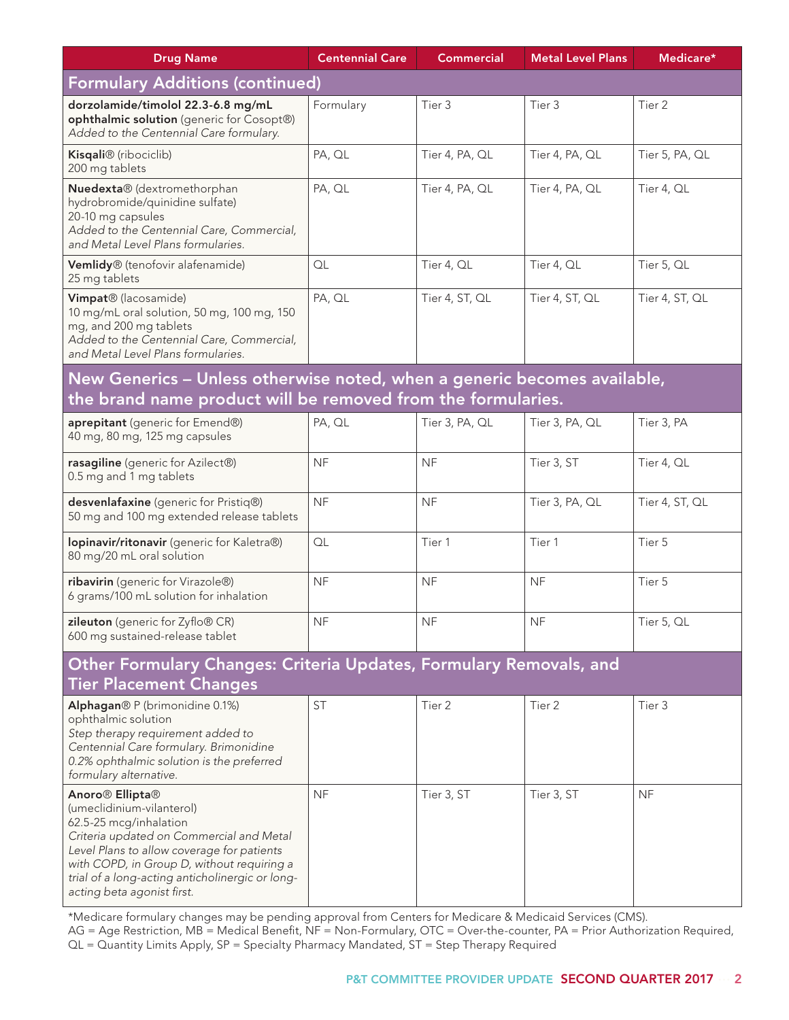| <b>Drug Name</b>                                                                                                                                                                                                                                                                                                        | <b>Centennial Care</b> | <b>Commercial</b> | <b>Metal Level Plans</b> | Medicare*      |  |
|-------------------------------------------------------------------------------------------------------------------------------------------------------------------------------------------------------------------------------------------------------------------------------------------------------------------------|------------------------|-------------------|--------------------------|----------------|--|
| <b>Formulary Additions (continued)</b>                                                                                                                                                                                                                                                                                  |                        |                   |                          |                |  |
| dorzolamide/timolol 22.3-6.8 mg/mL<br>ophthalmic solution (generic for Cosopt®)<br>Added to the Centennial Care formulary.                                                                                                                                                                                              | Formulary              | Tier 3            | Tier 3                   | Tier 2         |  |
| Kisqali® (ribociclib)<br>200 mg tablets                                                                                                                                                                                                                                                                                 | PA, QL                 | Tier 4, PA, QL    | Tier 4, PA, QL           | Tier 5, PA, QL |  |
| Nuedexta® (dextromethorphan<br>hydrobromide/quinidine sulfate)<br>20-10 mg capsules<br>Added to the Centennial Care, Commercial,<br>and Metal Level Plans formularies.                                                                                                                                                  | PA, QL                 | Tier 4, PA, QL    | Tier 4, PA, QL           | Tier 4, QL     |  |
| Vemlidy® (tenofovir alafenamide)<br>25 mg tablets                                                                                                                                                                                                                                                                       | QL                     | Tier 4, QL        | Tier 4, QL               | Tier 5, QL     |  |
| Vimpat® (lacosamide)<br>10 mg/mL oral solution, 50 mg, 100 mg, 150<br>mg, and 200 mg tablets<br>Added to the Centennial Care, Commercial,<br>and Metal Level Plans formularies.                                                                                                                                         | PA, QL                 | Tier 4, ST, QL    | Tier 4, ST, QL           | Tier 4, ST, QL |  |
| New Generics - Unless otherwise noted, when a generic becomes available,<br>the brand name product will be removed from the formularies.                                                                                                                                                                                |                        |                   |                          |                |  |
| aprepitant (generic for Emend®)<br>40 mg, 80 mg, 125 mg capsules                                                                                                                                                                                                                                                        | PA, QL                 | Tier 3, PA, QL    | Tier 3, PA, QL           | Tier 3, PA     |  |
| rasagiline (generic for Azilect®)<br>0.5 mg and 1 mg tablets                                                                                                                                                                                                                                                            | <b>NF</b>              | <b>NF</b>         | Tier 3, ST               | Tier 4, QL     |  |
| desvenlafaxine (generic for Pristiq®)<br>50 mg and 100 mg extended release tablets                                                                                                                                                                                                                                      | <b>NF</b>              | <b>NF</b>         | Tier 3, PA, QL           | Tier 4, ST, QL |  |
| lopinavir/ritonavir (generic for Kaletra®)<br>80 mg/20 mL oral solution                                                                                                                                                                                                                                                 | QL                     | Tier 1            | Tier 1                   | Tier 5         |  |
| ribavirin (generic for Virazole®)<br>6 grams/100 mL solution for inhalation                                                                                                                                                                                                                                             | <b>NF</b>              | <b>NF</b>         | <b>NF</b>                | Tier 5         |  |
| zileuton (generic for Zyflo® CR)<br>600 mg sustained-release tablet                                                                                                                                                                                                                                                     | <b>NF</b>              | <b>NF</b>         | <b>NF</b>                | Tier 5, QL     |  |
| Other Formulary Changes: Criteria Updates, Formulary Removals, and<br><b>Tier Placement Changes</b>                                                                                                                                                                                                                     |                        |                   |                          |                |  |
| Alphagan® P (brimonidine 0.1%)<br>ophthalmic solution<br>Step therapy requirement added to<br>Centennial Care formulary. Brimonidine<br>0.2% ophthalmic solution is the preferred<br>formulary alternative.                                                                                                             | <b>ST</b>              | Tier 2            | Tier 2                   | Tier 3         |  |
| Anoro <sup>®</sup> Ellipta <sup>®</sup><br>(umeclidinium-vilanterol)<br>62.5-25 mcg/inhalation<br>Criteria updated on Commercial and Metal<br>Level Plans to allow coverage for patients<br>with COPD, in Group D, without requiring a<br>trial of a long-acting anticholinergic or long-<br>acting beta agonist first. | <b>NF</b>              | Tier 3, ST        | Tier 3, ST               | <b>NF</b>      |  |

\*Medicare formulary changes may be pending approval from Centers for Medicare & Medicaid Services (CMS).

AG = Age Restriction, MB = Medical Benefit, NF = Non-Formulary, OTC = Over-the-counter, PA = Prior Authorization Required, QL = Quantity Limits Apply, SP = Specialty Pharmacy Mandated, ST = Step Therapy Required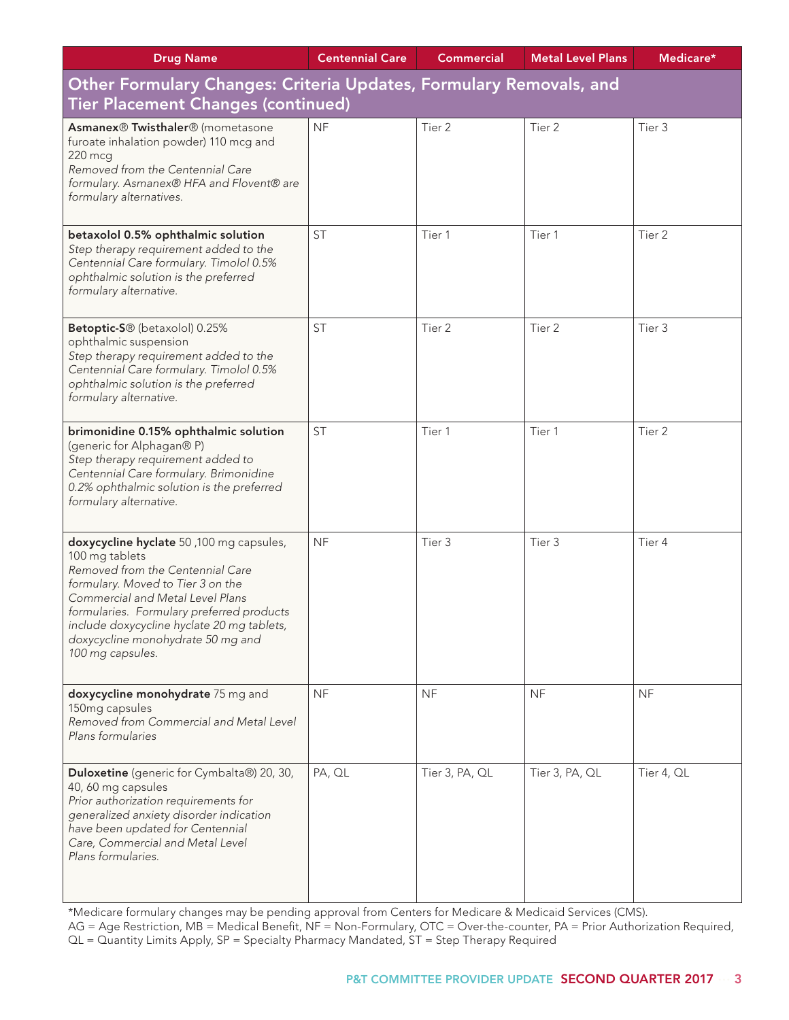| <b>Drug Name</b>                                                                                                                                                                                                                                                                                                           | <b>Centennial Care</b> | <b>Commercial</b> | <b>Metal Level Plans</b> | Medicare*  |  |
|----------------------------------------------------------------------------------------------------------------------------------------------------------------------------------------------------------------------------------------------------------------------------------------------------------------------------|------------------------|-------------------|--------------------------|------------|--|
| Other Formulary Changes: Criteria Updates, Formulary Removals, and                                                                                                                                                                                                                                                         |                        |                   |                          |            |  |
| <b>Tier Placement Changes (continued)</b>                                                                                                                                                                                                                                                                                  |                        |                   |                          |            |  |
| Asmanex® Twisthaler® (mometasone<br>furoate inhalation powder) 110 mcg and<br>220 mcg<br>Removed from the Centennial Care<br>formulary. Asmanex® HFA and Flovent® are<br>formulary alternatives.                                                                                                                           | <b>NF</b>              | Tier 2            | Tier 2                   | Tier 3     |  |
| betaxolol 0.5% ophthalmic solution<br>Step therapy requirement added to the<br>Centennial Care formulary. Timolol 0.5%<br>ophthalmic solution is the preferred<br>formulary alternative.                                                                                                                                   | <b>ST</b>              | Tier 1            | Tier 1                   | Tier 2     |  |
| Betoptic-S <sup>®</sup> (betaxolol) 0.25%<br>ophthalmic suspension<br>Step therapy requirement added to the<br>Centennial Care formulary. Timolol 0.5%<br>ophthalmic solution is the preferred<br>formulary alternative.                                                                                                   | <b>ST</b>              | Tier 2            | Tier 2                   | Tier 3     |  |
| brimonidine 0.15% ophthalmic solution<br>(generic for Alphagan® P)<br>Step therapy requirement added to<br>Centennial Care formulary. Brimonidine<br>0.2% ophthalmic solution is the preferred<br>formulary alternative.                                                                                                   | <b>ST</b>              | Tier 1            | Tier 1                   | Tier 2     |  |
| doxycycline hyclate 50,100 mg capsules,<br>100 mg tablets<br>Removed from the Centennial Care<br>formulary. Moved to Tier 3 on the<br>Commercial and Metal Level Plans<br>formularies. Formulary preferred products<br>include doxycycline hyclate 20 mg tablets,<br>doxycycline monohydrate 50 mg and<br>100 mg capsules. | <b>NF</b>              | Tier 3            | Tier 3                   | Tier 4     |  |
| doxycycline monohydrate 75 mg and<br>150mg capsules<br>Removed from Commercial and Metal Level<br>Plans formularies                                                                                                                                                                                                        | <b>NF</b>              | <b>NF</b>         | <b>NF</b>                | <b>NF</b>  |  |
| Duloxetine (generic for Cymbalta®) 20, 30,<br>40, 60 mg capsules<br>Prior authorization requirements for<br>generalized anxiety disorder indication<br>have been updated for Centennial<br>Care, Commercial and Metal Level<br>Plans formularies.                                                                          | PA, QL                 | Tier 3, PA, QL    | Tier 3, PA, QL           | Tier 4, QL |  |

\*Medicare formulary changes may be pending approval from Centers for Medicare & Medicaid Services (CMS). AG = Age Restriction, MB = Medical Benefit, NF = Non-Formulary, OTC = Over-the-counter, PA = Prior Authorization Required,  $QL = \overline{Quantity}$  Limits Apply, SP = Specialty Pharmacy Mandated,  $ST = Step Theory Required$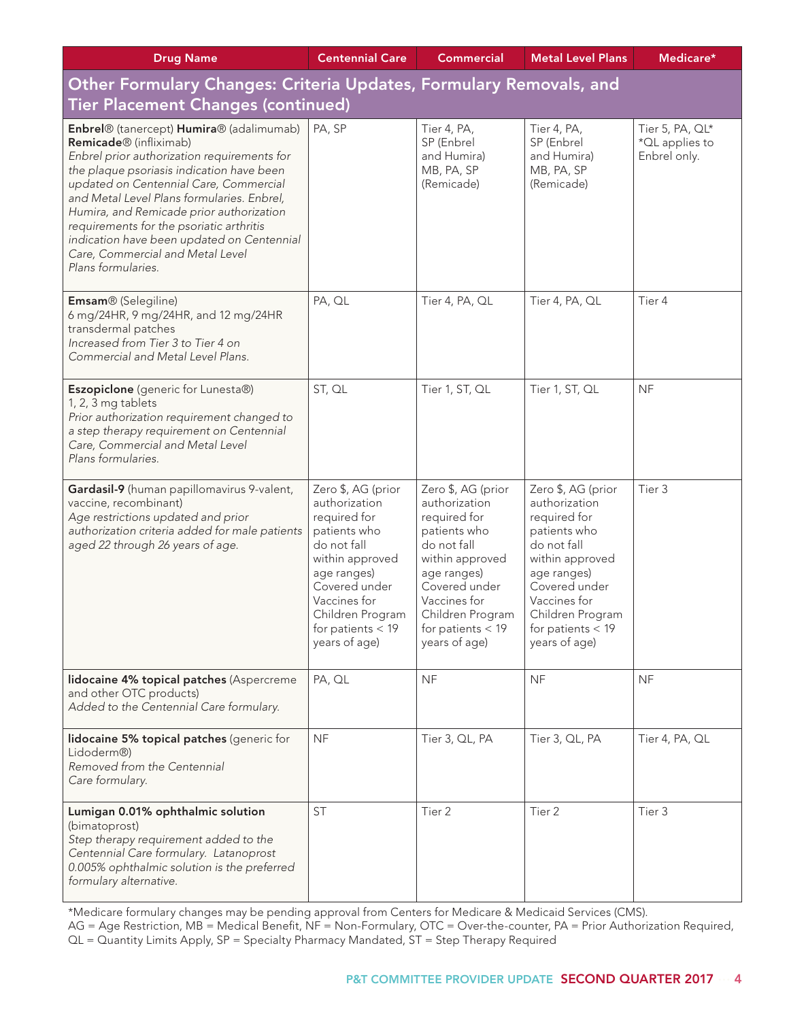| <b>Drug Name</b>                                                                                                                                                                                                                                                                                                                                                                                                                                                   | <b>Centennial Care</b>                                                                                                                                                                                            | <b>Commercial</b>                                                                                                                                                                                                 | <b>Metal Level Plans</b>                                                                                                                                                                                          | Medicare*                                         |
|--------------------------------------------------------------------------------------------------------------------------------------------------------------------------------------------------------------------------------------------------------------------------------------------------------------------------------------------------------------------------------------------------------------------------------------------------------------------|-------------------------------------------------------------------------------------------------------------------------------------------------------------------------------------------------------------------|-------------------------------------------------------------------------------------------------------------------------------------------------------------------------------------------------------------------|-------------------------------------------------------------------------------------------------------------------------------------------------------------------------------------------------------------------|---------------------------------------------------|
| Other Formulary Changes: Criteria Updates, Formulary Removals, and                                                                                                                                                                                                                                                                                                                                                                                                 |                                                                                                                                                                                                                   |                                                                                                                                                                                                                   |                                                                                                                                                                                                                   |                                                   |
| <b>Tier Placement Changes (continued)</b>                                                                                                                                                                                                                                                                                                                                                                                                                          |                                                                                                                                                                                                                   |                                                                                                                                                                                                                   |                                                                                                                                                                                                                   |                                                   |
| Enbrel® (tanercept) Humira® (adalimumab)<br>Remicade <sup>®</sup> (infliximab)<br>Enbrel prior authorization requirements for<br>the plaque psoriasis indication have been<br>updated on Centennial Care, Commercial<br>and Metal Level Plans formularies. Enbrel,<br>Humira, and Remicade prior authorization<br>requirements for the psoriatic arthritis<br>indication have been updated on Centennial<br>Care, Commercial and Metal Level<br>Plans formularies. | PA, SP                                                                                                                                                                                                            | Tier 4, PA,<br>SP (Enbrel<br>and Humira)<br>MB, PA, SP<br>(Remicade)                                                                                                                                              | Tier 4, PA,<br>SP (Enbrel<br>and Humira)<br>MB, PA, SP<br>(Remicade)                                                                                                                                              | Tier 5, PA, QL*<br>*QL applies to<br>Enbrel only. |
| Emsam® (Selegiline)<br>6 mg/24HR, 9 mg/24HR, and 12 mg/24HR<br>transdermal patches<br>Increased from Tier 3 to Tier 4 on<br>Commercial and Metal Level Plans.                                                                                                                                                                                                                                                                                                      | PA, QL                                                                                                                                                                                                            | Tier 4, PA, QL                                                                                                                                                                                                    | Tier 4, PA, QL                                                                                                                                                                                                    | Tier 4                                            |
| Eszopiclone (generic for Lunesta®)<br>1, 2, 3 mg tablets<br>Prior authorization requirement changed to<br>a step therapy requirement on Centennial<br>Care, Commercial and Metal Level<br>Plans formularies.                                                                                                                                                                                                                                                       | ST, QL                                                                                                                                                                                                            | Tier 1, ST, QL                                                                                                                                                                                                    | Tier 1, ST, QL                                                                                                                                                                                                    | <b>NF</b>                                         |
| Gardasil-9 (human papillomavirus 9-valent,<br>vaccine, recombinant)<br>Age restrictions updated and prior<br>authorization criteria added for male patients<br>aged 22 through 26 years of age.                                                                                                                                                                                                                                                                    | Zero \$, AG (prior<br>authorization<br>required for<br>patients who<br>do not fall<br>within approved<br>age ranges)<br>Covered under<br>Vaccines for<br>Children Program<br>for patients $<$ 19<br>years of age) | Zero \$, AG (prior<br>authorization<br>required for<br>patients who<br>do not fall<br>within approved<br>age ranges)<br>Covered under<br>Vaccines for<br>Children Program<br>for patients $<$ 19<br>years of age) | Zero \$, AG (prior<br>authorization<br>required for<br>patients who<br>do not fall<br>within approved<br>age ranges)<br>Covered under<br>Vaccines for<br>Children Program<br>for patients $<$ 19<br>years of age) | Tier 3                                            |
| lidocaine 4% topical patches (Aspercreme<br>and other OTC products)<br>Added to the Centennial Care formulary.                                                                                                                                                                                                                                                                                                                                                     | PA, QL                                                                                                                                                                                                            | <b>NF</b>                                                                                                                                                                                                         | <b>NF</b>                                                                                                                                                                                                         | <b>NF</b>                                         |
| lidocaine 5% topical patches (generic for<br>Lidoderm®)<br>Removed from the Centennial<br>Care formulary.                                                                                                                                                                                                                                                                                                                                                          | <b>NF</b>                                                                                                                                                                                                         | Tier 3, QL, PA                                                                                                                                                                                                    | Tier 3, QL, PA                                                                                                                                                                                                    | Tier 4, PA, QL                                    |
| Lumigan 0.01% ophthalmic solution<br>(bimatoprost)<br>Step therapy requirement added to the<br>Centennial Care formulary. Latanoprost<br>0.005% ophthalmic solution is the preferred<br>formulary alternative.                                                                                                                                                                                                                                                     | <b>ST</b>                                                                                                                                                                                                         | Tier 2                                                                                                                                                                                                            | Tier 2                                                                                                                                                                                                            | Tier 3                                            |

\*Medicare formulary changes may be pending approval from Centers for Medicare & Medicaid Services (CMS). AG = Age Restriction, MB = Medical Benefit, NF = Non-Formulary, OTC = Over-the-counter, PA = Prior Authorization Required,

QL = Quantity Limits Apply, SP = Specialty Pharmacy Mandated, ST = Step Therapy Required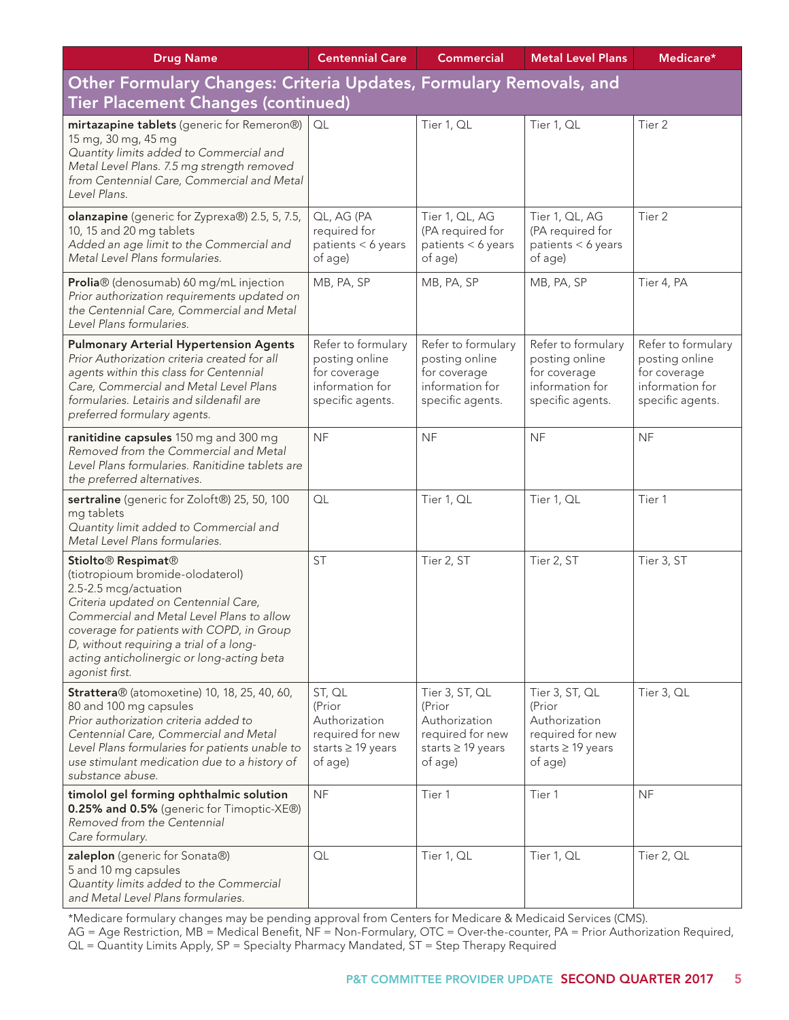| <b>Drug Name</b>                                                                                                                                                                                                                                                                                                                                     | <b>Centennial Care</b>                                                                      | <b>Commercial</b>                                                                                  | <b>Metal Level Plans</b>                                                                      | Medicare*                                                                                   |  |
|------------------------------------------------------------------------------------------------------------------------------------------------------------------------------------------------------------------------------------------------------------------------------------------------------------------------------------------------------|---------------------------------------------------------------------------------------------|----------------------------------------------------------------------------------------------------|-----------------------------------------------------------------------------------------------|---------------------------------------------------------------------------------------------|--|
| Other Formulary Changes: Criteria Updates, Formulary Removals, and                                                                                                                                                                                                                                                                                   |                                                                                             |                                                                                                    |                                                                                               |                                                                                             |  |
| Tier Placement Changes (continued)                                                                                                                                                                                                                                                                                                                   |                                                                                             |                                                                                                    |                                                                                               |                                                                                             |  |
| mirtazapine tablets (generic for Remeron®)<br>15 mg, 30 mg, 45 mg<br>Quantity limits added to Commercial and<br>Metal Level Plans. 7.5 mg strength removed<br>from Centennial Care, Commercial and Metal<br>Level Plans.                                                                                                                             | QL                                                                                          | Tier 1, QL                                                                                         | Tier 1, QL                                                                                    | Tier <sub>2</sub>                                                                           |  |
| olanzapine (generic for Zyprexa®) 2.5, 5, 7.5,<br>10, 15 and 20 mg tablets<br>Added an age limit to the Commercial and<br>Metal Level Plans formularies.                                                                                                                                                                                             | QL, AG (PA<br>required for<br>patients < 6 years<br>of age)                                 | Tier 1, QL, AG<br>(PA required for<br>patients < 6 years<br>of age)                                | Tier 1, QL, AG<br>(PA required for<br>patients < 6 years<br>of age)                           | Tier 2                                                                                      |  |
| Prolia® (denosumab) 60 mg/mL injection<br>Prior authorization requirements updated on<br>the Centennial Care, Commercial and Metal<br>Level Plans formularies.                                                                                                                                                                                       | MB, PA, SP                                                                                  | MB, PA, SP                                                                                         | MB, PA, SP                                                                                    | Tier 4, PA                                                                                  |  |
| <b>Pulmonary Arterial Hypertension Agents</b><br>Prior Authorization criteria created for all<br>agents within this class for Centennial<br>Care, Commercial and Metal Level Plans<br>formularies. Letairis and sildenafil are<br>preferred formulary agents.                                                                                        | Refer to formulary<br>posting online<br>for coverage<br>information for<br>specific agents. | Refer to formulary<br>posting online<br>for coverage<br>information for<br>specific agents.        | Refer to formulary<br>posting online<br>for coverage<br>information for<br>specific agents.   | Refer to formulary<br>posting online<br>for coverage<br>information for<br>specific agents. |  |
| ranitidine capsules 150 mg and 300 mg<br>Removed from the Commercial and Metal<br>Level Plans formularies. Ranitidine tablets are<br>the preferred alternatives.                                                                                                                                                                                     | <b>NF</b>                                                                                   | <b>NF</b>                                                                                          | <b>NF</b>                                                                                     | <b>NF</b>                                                                                   |  |
| sertraline (generic for Zoloft®) 25, 50, 100<br>mg tablets<br>Quantity limit added to Commercial and<br>Metal Level Plans formularies.                                                                                                                                                                                                               | QL                                                                                          | Tier 1, QL                                                                                         | Tier 1, QL                                                                                    | Tier 1                                                                                      |  |
| Stiolto <sup>®</sup> Respimat <sup>®</sup><br>(tiotropioum bromide-olodaterol)<br>2.5-2.5 mcg/actuation<br>Criteria updated on Centennial Care,<br>Commercial and Metal Level Plans to allow<br>coverage for patients with COPD, in Group<br>D, without requiring a trial of a long-<br>acting anticholinergic or long-acting beta<br>agonist first. | <b>ST</b>                                                                                   | Tier 2, ST                                                                                         | Tier 2, ST                                                                                    | Tier 3, ST                                                                                  |  |
| <b>Strattera</b> ® (atomoxetine) 10, 18, 25, 40, 60,<br>80 and 100 mg capsules<br>Prior authorization criteria added to<br>Centennial Care, Commercial and Metal<br>Level Plans formularies for patients unable to<br>use stimulant medication due to a history of<br>substance abuse.                                                               | ST, QL<br>(Prior<br>Authorization<br>required for new<br>starts ≥ 19 years<br>of age)       | Tier 3, ST, QL<br>(Prior<br>Authorization<br>required for new<br>starts $\geq$ 19 years<br>of age) | Tier 3, ST, QL<br>(Prior<br>Authorization<br>required for new<br>starts ≥ 19 years<br>of age) | Tier 3, QL                                                                                  |  |
| timolol gel forming ophthalmic solution<br>0.25% and 0.5% (generic for Timoptic-XE®)<br>Removed from the Centennial<br>Care formulary.                                                                                                                                                                                                               | <b>NF</b>                                                                                   | Tier 1                                                                                             | Tier 1                                                                                        | <b>NF</b>                                                                                   |  |
| zaleplon (generic for Sonata®)<br>5 and 10 mg capsules<br>Quantity limits added to the Commercial<br>and Metal Level Plans formularies.                                                                                                                                                                                                              | QL                                                                                          | Tier 1, QL                                                                                         | Tier 1, QL                                                                                    | Tier 2, QL                                                                                  |  |

\*Medicare formulary changes may be pending approval from Centers for Medicare & Medicaid Services (CMS). AG = Age Restriction, MB = Medical Benefit, NF = Non-Formulary, OTC = Over-the-counter, PA = Prior Authorization Required, QL = Quantity Limits Apply, SP = Specialty Pharmacy Mandated, ST = Step Therapy Required